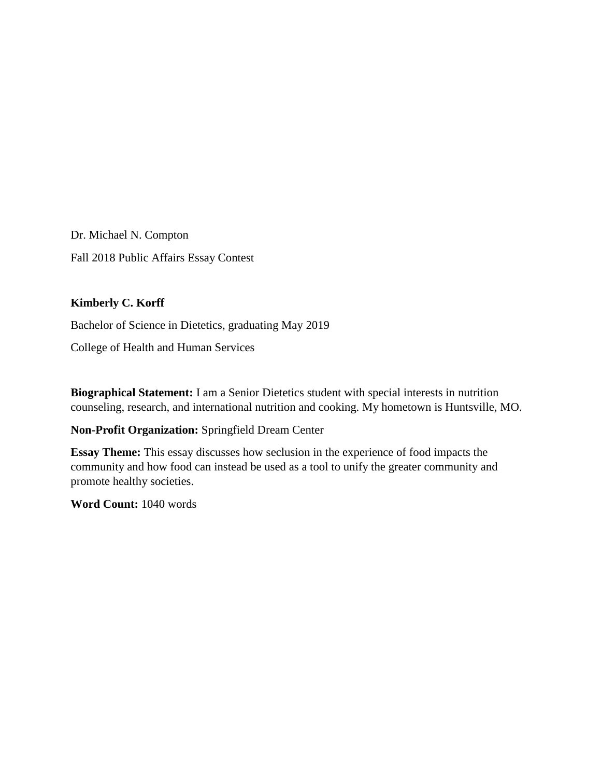Dr. Michael N. Compton Fall 2018 Public Affairs Essay Contest

# **Kimberly C. Korff**

Bachelor of Science in Dietetics, graduating May 2019

College of Health and Human Services

**Biographical Statement:** I am a Senior Dietetics student with special interests in nutrition counseling, research, and international nutrition and cooking. My hometown is Huntsville, MO.

## **Non-Profit Organization:** Springfield Dream Center

**Essay Theme:** This essay discusses how seclusion in the experience of food impacts the community and how food can instead be used as a tool to unify the greater community and promote healthy societies.

**Word Count:** 1040 words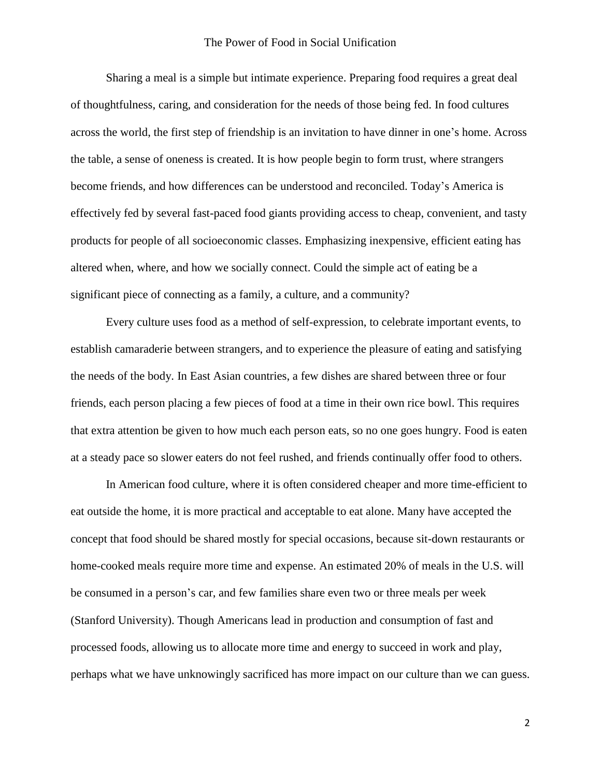### The Power of Food in Social Unification

Sharing a meal is a simple but intimate experience. Preparing food requires a great deal of thoughtfulness, caring, and consideration for the needs of those being fed. In food cultures across the world, the first step of friendship is an invitation to have dinner in one's home. Across the table, a sense of oneness is created. It is how people begin to form trust, where strangers become friends, and how differences can be understood and reconciled. Today's America is effectively fed by several fast-paced food giants providing access to cheap, convenient, and tasty products for people of all socioeconomic classes. Emphasizing inexpensive, efficient eating has altered when, where, and how we socially connect. Could the simple act of eating be a significant piece of connecting as a family, a culture, and a community?

Every culture uses food as a method of self-expression, to celebrate important events, to establish camaraderie between strangers, and to experience the pleasure of eating and satisfying the needs of the body. In East Asian countries, a few dishes are shared between three or four friends, each person placing a few pieces of food at a time in their own rice bowl. This requires that extra attention be given to how much each person eats, so no one goes hungry. Food is eaten at a steady pace so slower eaters do not feel rushed, and friends continually offer food to others.

In American food culture, where it is often considered cheaper and more time-efficient to eat outside the home, it is more practical and acceptable to eat alone. Many have accepted the concept that food should be shared mostly for special occasions, because sit-down restaurants or home-cooked meals require more time and expense. An estimated 20% of meals in the U.S. will be consumed in a person's car, and few families share even two or three meals per week (Stanford University). Though Americans lead in production and consumption of fast and processed foods, allowing us to allocate more time and energy to succeed in work and play, perhaps what we have unknowingly sacrificed has more impact on our culture than we can guess.

2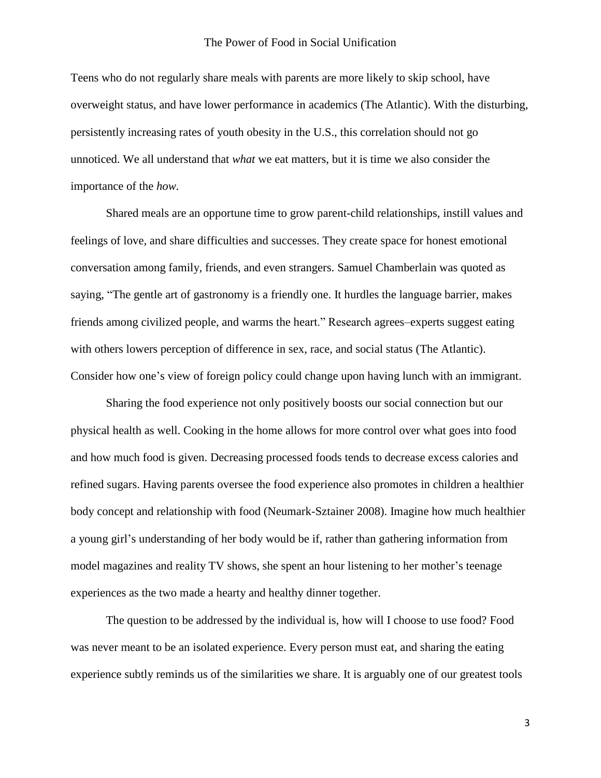#### The Power of Food in Social Unification

Teens who do not regularly share meals with parents are more likely to skip school, have overweight status, and have lower performance in academics (The Atlantic). With the disturbing, persistently increasing rates of youth obesity in the U.S., this correlation should not go unnoticed. We all understand that *what* we eat matters, but it is time we also consider the importance of the *how.*

Shared meals are an opportune time to grow parent-child relationships, instill values and feelings of love, and share difficulties and successes. They create space for honest emotional conversation among family, friends, and even strangers. Samuel Chamberlain was quoted as saying, "The gentle art of gastronomy is a friendly one. It hurdles the language barrier, makes friends among civilized people, and warms the heart." Research agrees–experts suggest eating with others lowers perception of difference in sex, race, and social status (The Atlantic). Consider how one's view of foreign policy could change upon having lunch with an immigrant.

Sharing the food experience not only positively boosts our social connection but our physical health as well. Cooking in the home allows for more control over what goes into food and how much food is given. Decreasing processed foods tends to decrease excess calories and refined sugars. Having parents oversee the food experience also promotes in children a healthier body concept and relationship with food (Neumark-Sztainer 2008). Imagine how much healthier a young girl's understanding of her body would be if, rather than gathering information from model magazines and reality TV shows, she spent an hour listening to her mother's teenage experiences as the two made a hearty and healthy dinner together.

The question to be addressed by the individual is, how will I choose to use food? Food was never meant to be an isolated experience. Every person must eat, and sharing the eating experience subtly reminds us of the similarities we share. It is arguably one of our greatest tools

3